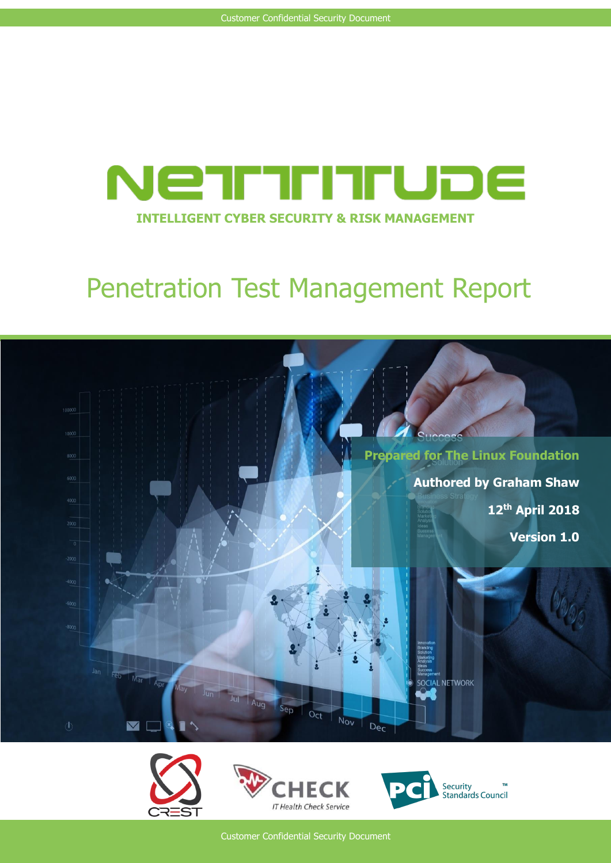

# Penetration Test Management Report









Customer Confidential Security Document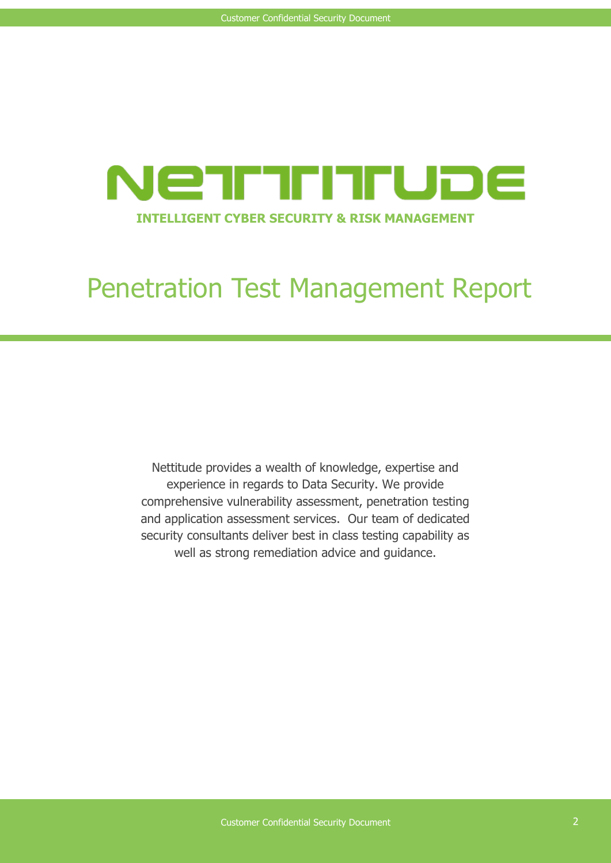

# Penetration Test Management Report

Nettitude provides a wealth of knowledge, expertise and experience in regards to Data Security. We provide comprehensive vulnerability assessment, penetration testing and application assessment services. Our team of dedicated security consultants deliver best in class testing capability as well as strong remediation advice and guidance.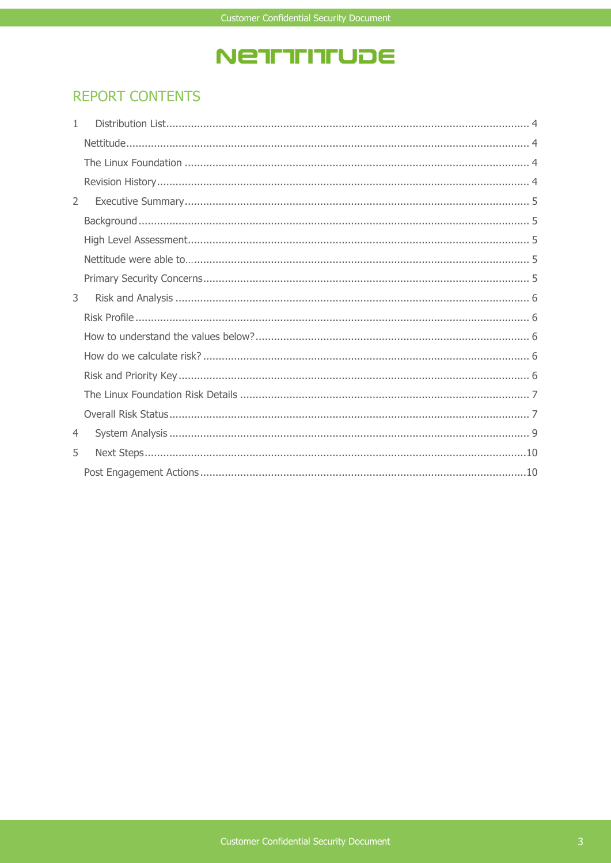## NETITITUDE

### **REPORT CONTENTS**

| $\mathbf{1}$  |  |
|---------------|--|
|               |  |
|               |  |
|               |  |
| $\mathcal{L}$ |  |
|               |  |
|               |  |
|               |  |
|               |  |
| 3             |  |
|               |  |
|               |  |
|               |  |
|               |  |
|               |  |
|               |  |
| 4             |  |
| 5             |  |
|               |  |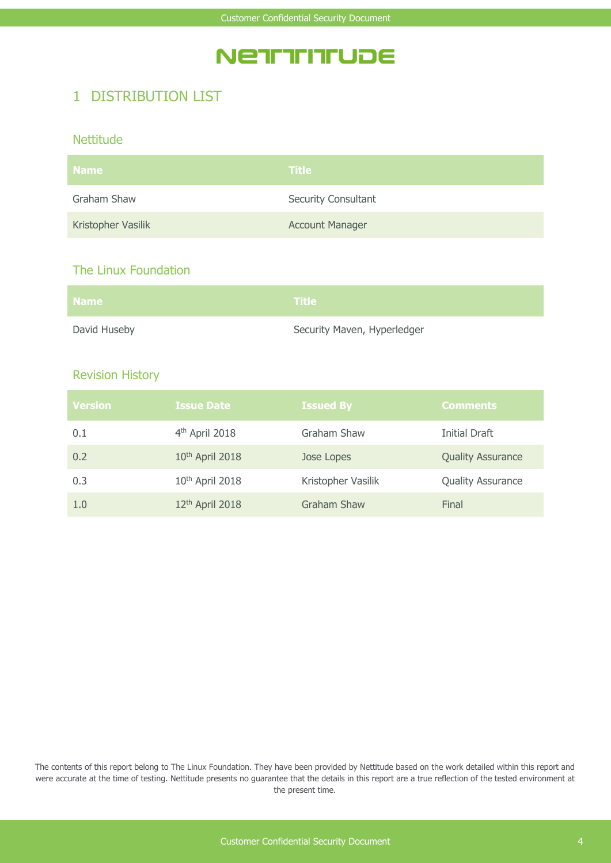## **NETITITITUDE**

### 1 DISTRIBUTION LIST

#### **Nettitude**

| <b>Name</b>        | <b>Title</b>               |
|--------------------|----------------------------|
| Graham Shaw        | <b>Security Consultant</b> |
| Kristopher Vasilik | <b>Account Manager</b>     |

#### The Linux Foundation

| <b>Name</b>  | $\blacksquare$ Title $\blacksquare$ |
|--------------|-------------------------------------|
| David Huseby | Security Maven, Hyperledger         |

#### Revision History

| <b>Version</b> | <b>Issue Date</b>           | <b>Issued By</b>   | <b>Comments</b>          |
|----------------|-----------------------------|--------------------|--------------------------|
| 0.1            | 4 <sup>th</sup> April 2018  | Graham Shaw        | Initial Draft            |
| 0.2            | 10 <sup>th</sup> April 2018 | Jose Lopes         | <b>Quality Assurance</b> |
| 0.3            | 10 <sup>th</sup> April 2018 | Kristopher Vasilik | <b>Quality Assurance</b> |
| 1.0            | 12 <sup>th</sup> April 2018 | Graham Shaw        | Final                    |

The contents of this report belong to The Linux Foundation. They have been provided by Nettitude based on the work detailed within this report and were accurate at the time of testing. Nettitude presents no guarantee that the details in this report are a true reflection of the tested environment at the present time.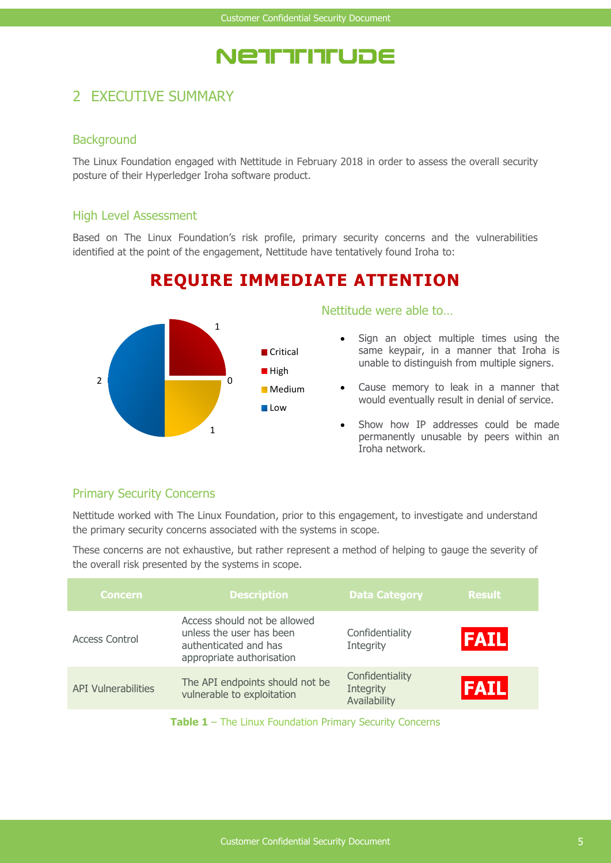## NETTITITUDE

### 2 EXECUTIVE SUMMARY

#### **Background**

The Linux Foundation engaged with Nettitude in February 2018 in order to assess the overall security posture of their Hyperledger Iroha software product.

#### High Level Assessment

Based on The Linux Foundation's risk profile, primary security concerns and the vulnerabilities identified at the point of the engagement, Nettitude have tentatively found Iroha to:

### **REQUIRE IMMEDIATE ATTENTION**



Nettitude were able to…

- Sign an object multiple times using the same keypair, in a manner that Iroha is unable to distinguish from multiple signers.
- Cause memory to leak in a manner that would eventually result in denial of service.
- Show how IP addresses could be made permanently unusable by peers within an Iroha network.

#### Primary Security Concerns

Nettitude worked with The Linux Foundation, prior to this engagement, to investigate and understand the primary security concerns associated with the systems in scope.

These concerns are not exhaustive, but rather represent a method of helping to gauge the severity of the overall risk presented by the systems in scope.

| <b>Concern</b>             | <b>Description</b>                                                                                             | <b>Data Category</b>                         | <b>Result</b> |
|----------------------------|----------------------------------------------------------------------------------------------------------------|----------------------------------------------|---------------|
| Access Control             | Access should not be allowed<br>unless the user has been<br>authenticated and has<br>appropriate authorisation | Confidentiality<br>Integrity                 | <b>FAIL</b>   |
| <b>API Vulnerabilities</b> | The API endpoints should not be<br>vulnerable to exploitation                                                  | Confidentiality<br>Integrity<br>Availability | <b>IFAIL</b>  |
|                            |                                                                                                                |                                              |               |

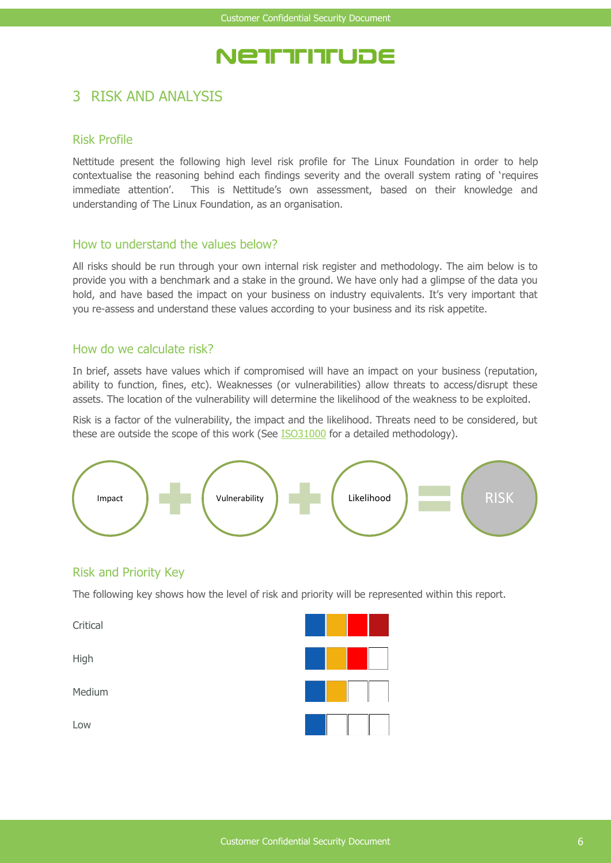## NETTITITUDE

### 3 RISK AND ANALYSIS

#### Risk Profile

Nettitude present the following high level risk profile for The Linux Foundation in order to help contextualise the reasoning behind each findings severity and the overall system rating of 'requires immediate attention'. This is Nettitude's own assessment, based on their knowledge and understanding of The Linux Foundation, as an organisation.

#### How to understand the values below?

All risks should be run through your own internal risk register and methodology. The aim below is to provide you with a benchmark and a stake in the ground. We have only had a glimpse of the data you hold, and have based the impact on your business on industry equivalents. It's very important that you re-assess and understand these values according to your business and its risk appetite.

#### How do we calculate risk?

In brief, assets have values which if compromised will have an impact on your business (reputation, ability to function, fines, etc). Weaknesses (or vulnerabilities) allow threats to access/disrupt these assets. The location of the vulnerability will determine the likelihood of the weakness to be exploited.

Risk is a factor of the vulnerability, the impact and the likelihood. Threats need to be considered, but these are outside the scope of this work (See [ISO31000](http://www.iso.org/iso/home/standards/iso31000.htm) for a detailed methodology).



#### Risk and Priority Key

The following key shows how the level of risk and priority will be represented within this report.

**Critical** High Medium Low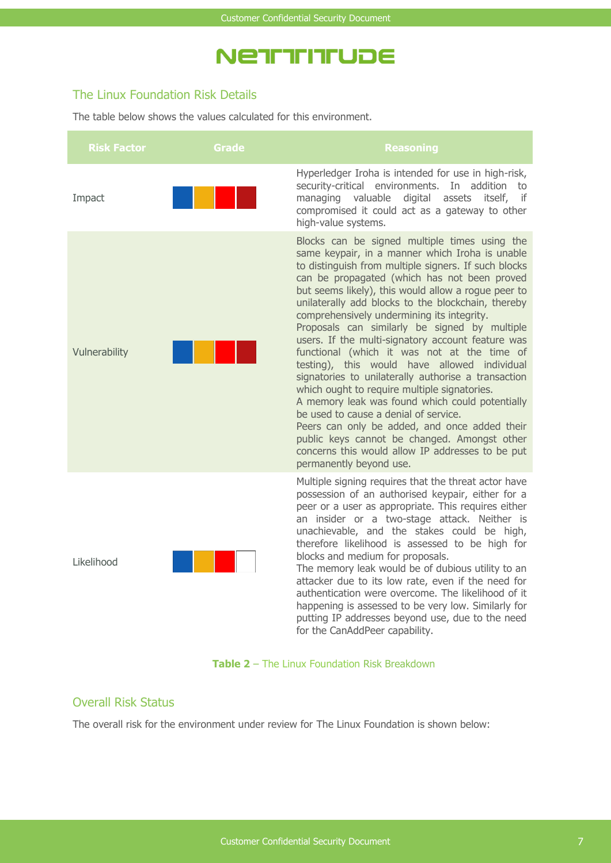## NETITITITUDE

#### The Linux Foundation Risk Details

The table below shows the values calculated for this environment.

| <b>Risk Factor</b> | Grade | <b>Reasoning</b>                                                                                                                                                                                                                                                                                                                                                                                                                                                                                                                                                                                                                                                                                                                                                                                                                                                                                                                                            |
|--------------------|-------|-------------------------------------------------------------------------------------------------------------------------------------------------------------------------------------------------------------------------------------------------------------------------------------------------------------------------------------------------------------------------------------------------------------------------------------------------------------------------------------------------------------------------------------------------------------------------------------------------------------------------------------------------------------------------------------------------------------------------------------------------------------------------------------------------------------------------------------------------------------------------------------------------------------------------------------------------------------|
| Impact             |       | Hyperledger Iroha is intended for use in high-risk,<br>security-critical environments. In<br>addition<br>to<br>managing valuable<br>if<br>digital<br>assets<br>itself,<br>compromised it could act as a gateway to other<br>high-value systems.                                                                                                                                                                                                                                                                                                                                                                                                                                                                                                                                                                                                                                                                                                             |
| Vulnerability      |       | Blocks can be signed multiple times using the<br>same keypair, in a manner which Iroha is unable<br>to distinguish from multiple signers. If such blocks<br>can be propagated (which has not been proved<br>but seems likely), this would allow a roque peer to<br>unilaterally add blocks to the blockchain, thereby<br>comprehensively undermining its integrity.<br>Proposals can similarly be signed by multiple<br>users. If the multi-signatory account feature was<br>functional (which it was not at the time of<br>testing), this would have allowed individual<br>signatories to unilaterally authorise a transaction<br>which ought to require multiple signatories.<br>A memory leak was found which could potentially<br>be used to cause a denial of service.<br>Peers can only be added, and once added their<br>public keys cannot be changed. Amongst other<br>concerns this would allow IP addresses to be put<br>permanently beyond use. |
| Likelihood         |       | Multiple signing requires that the threat actor have<br>possession of an authorised keypair, either for a<br>peer or a user as appropriate. This requires either<br>an insider or a two-stage attack. Neither is<br>unachievable, and the stakes could be high,<br>therefore likelihood is assessed to be high for<br>blocks and medium for proposals.<br>The memory leak would be of dubious utility to an<br>attacker due to its low rate, even if the need for<br>authentication were overcome. The likelihood of it<br>happening is assessed to be very low. Similarly for<br>putting IP addresses beyond use, due to the need<br>for the CanAddPeer capability.                                                                                                                                                                                                                                                                                        |

#### **Table 2** – The Linux Foundation Risk Breakdown

#### Overall Risk Status

The overall risk for the environment under review for The Linux Foundation is shown below: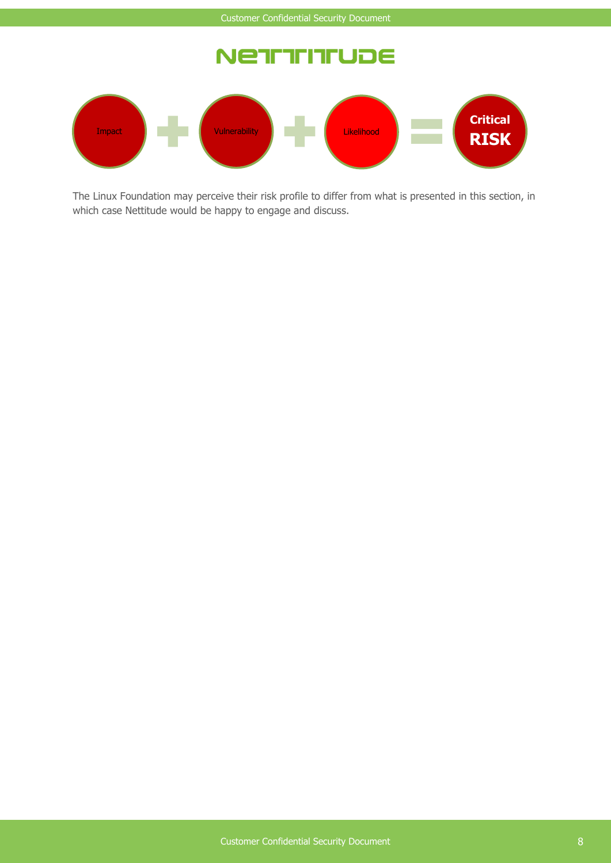#### Ne<sup>.</sup> **TETERUDE**



The Linux Foundation may perceive their risk profile to differ from what is presented in this section, in which case Nettitude would be happy to engage and discuss.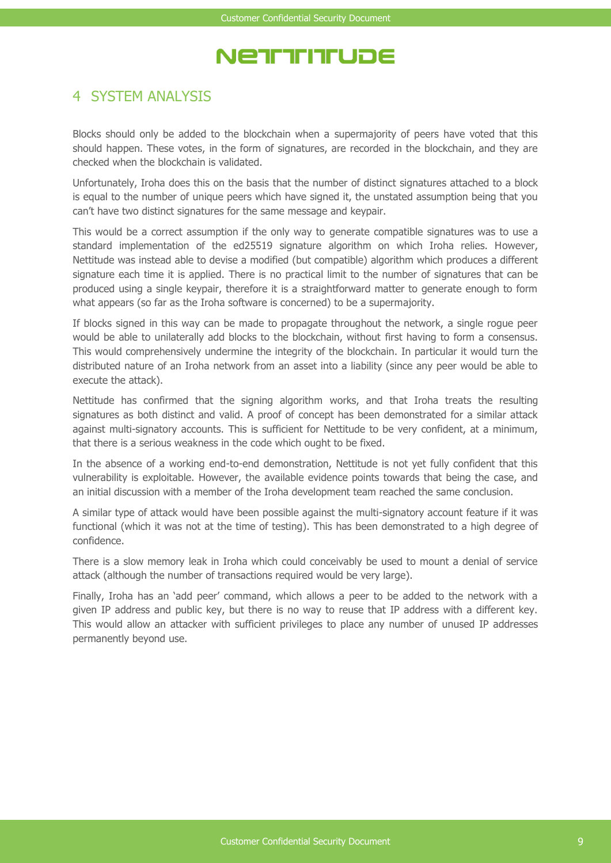## NETTITITUDE

### 4 SYSTEM ANALYSIS

Blocks should only be added to the blockchain when a supermajority of peers have voted that this should happen. These votes, in the form of signatures, are recorded in the blockchain, and they are checked when the blockchain is validated.

Unfortunately, Iroha does this on the basis that the number of distinct signatures attached to a block is equal to the number of unique peers which have signed it, the unstated assumption being that you can't have two distinct signatures for the same message and keypair.

This would be a correct assumption if the only way to generate compatible signatures was to use a standard implementation of the ed25519 signature algorithm on which Iroha relies. However, Nettitude was instead able to devise a modified (but compatible) algorithm which produces a different signature each time it is applied. There is no practical limit to the number of signatures that can be produced using a single keypair, therefore it is a straightforward matter to generate enough to form what appears (so far as the Iroha software is concerned) to be a supermajority.

If blocks signed in this way can be made to propagate throughout the network, a single rogue peer would be able to unilaterally add blocks to the blockchain, without first having to form a consensus. This would comprehensively undermine the integrity of the blockchain. In particular it would turn the distributed nature of an Iroha network from an asset into a liability (since any peer would be able to execute the attack).

Nettitude has confirmed that the signing algorithm works, and that Iroha treats the resulting signatures as both distinct and valid. A proof of concept has been demonstrated for a similar attack against multi-signatory accounts. This is sufficient for Nettitude to be very confident, at a minimum, that there is a serious weakness in the code which ought to be fixed.

In the absence of a working end-to-end demonstration, Nettitude is not yet fully confident that this vulnerability is exploitable. However, the available evidence points towards that being the case, and an initial discussion with a member of the Iroha development team reached the same conclusion.

A similar type of attack would have been possible against the multi-signatory account feature if it was functional (which it was not at the time of testing). This has been demonstrated to a high degree of confidence.

There is a slow memory leak in Iroha which could conceivably be used to mount a denial of service attack (although the number of transactions required would be very large).

Finally, Iroha has an 'add peer' command, which allows a peer to be added to the network with a given IP address and public key, but there is no way to reuse that IP address with a different key. This would allow an attacker with sufficient privileges to place any number of unused IP addresses permanently beyond use.